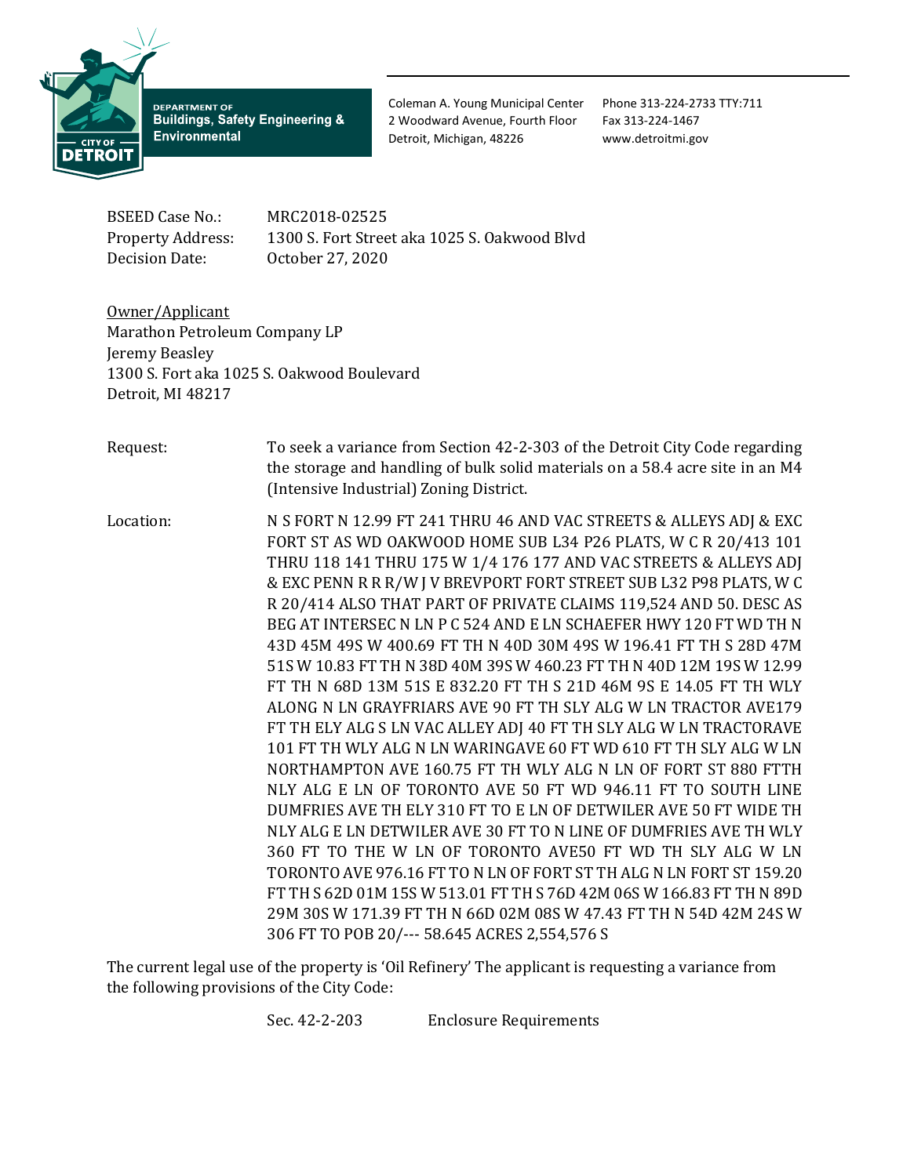

**DEPARTMENT OF Buildings, Safety Engineering & Environmental** 

Coleman A. Young Municipal Center Phone 313-224-2733 TTY:711 2 Woodward Avenue, Fourth Floor Fax 313-224-1467 Detroit, Michigan, 48226 www.detroitmi.gov

BSEED Case No.: MRC2018-02525<br>Property Address: 1300 S. Fort Stree 1300 S. Fort Street aka 1025 S. Oakwood Blvd Decision Date: October 27, 2020

Owner/Applicant Marathon Petroleum Company LP Jeremy Beasley 1300 S. Fort aka 1025 S. Oakwood Boulevard Detroit, MI 48217

Request: To seek a variance from Section 42-2-303 of the Detroit City Code regarding the storage and handling of bulk solid materials on a 58.4 acre site in an M4 (Intensive Industrial) Zoning District.

Location: N S FORT N 12.99 FT 241 THRU 46 AND VAC STREETS & ALLEYS ADJ & EXC FORT ST AS WD OAKWOOD HOME SUB L34 P26 PLATS, W C R 20/413 101 THRU 118 141 THRU 175 W 1/4 176 177 AND VAC STREETS & ALLEYS ADJ & EXC PENN R R R/W J V BREVPORT FORT STREET SUB L32 P98 PLATS, W C R 20/414 ALSO THAT PART OF PRIVATE CLAIMS 119,524 AND 50. DESC AS BEG AT INTERSEC N LN P C 524 AND E LN SCHAEFER HWY 120 FT WD TH N 43D 45M 49S W 400.69 FT TH N 40D 30M 49S W 196.41 FT TH S 28D 47M 51S W 10.83 FT TH N 38D 40M 39S W 460.23 FT TH N 40D 12M 19S W 12.99 FT TH N 68D 13M 51S E 832.20 FT TH S 21D 46M 9S E 14.05 FT TH WLY ALONG N LN GRAYFRIARS AVE 90 FT TH SLY ALG W LN TRACTOR AVE179 FT TH ELY ALG S LN VAC ALLEY ADJ 40 FT TH SLY ALG W LN TRACTORAVE 101 FT TH WLY ALG N LN WARINGAVE 60 FT WD 610 FT TH SLY ALG W LN NORTHAMPTON AVE 160.75 FT TH WLY ALG N LN OF FORT ST 880 FTTH NLY ALG E LN OF TORONTO AVE 50 FT WD 946.11 FT TO SOUTH LINE DUMFRIES AVE TH ELY 310 FT TO E LN OF DETWILER AVE 50 FT WIDE TH NLY ALG E LN DETWILER AVE 30 FT TO N LINE OF DUMFRIES AVE TH WLY 360 FT TO THE W LN OF TORONTO AVE50 FT WD TH SLY ALG W LN TORONTO AVE 976.16 FT TO N LN OF FORT ST TH ALG N LN FORT ST 159.20 FT TH S 62D 01M 15S W 513.01 FT TH S 76D 42M 06S W 166.83 FT TH N 89D 29M 30S W 171.39 FT TH N 66D 02M 08S W 47.43 FT TH N 54D 42M 24S W 306 FT TO POB 20/--- 58.645 ACRES 2,554,576 S

The current legal use of the property is 'Oil Refinery' The applicant is requesting a variance from the following provisions of the City Code:

Sec. 42-2-203 Enclosure Requirements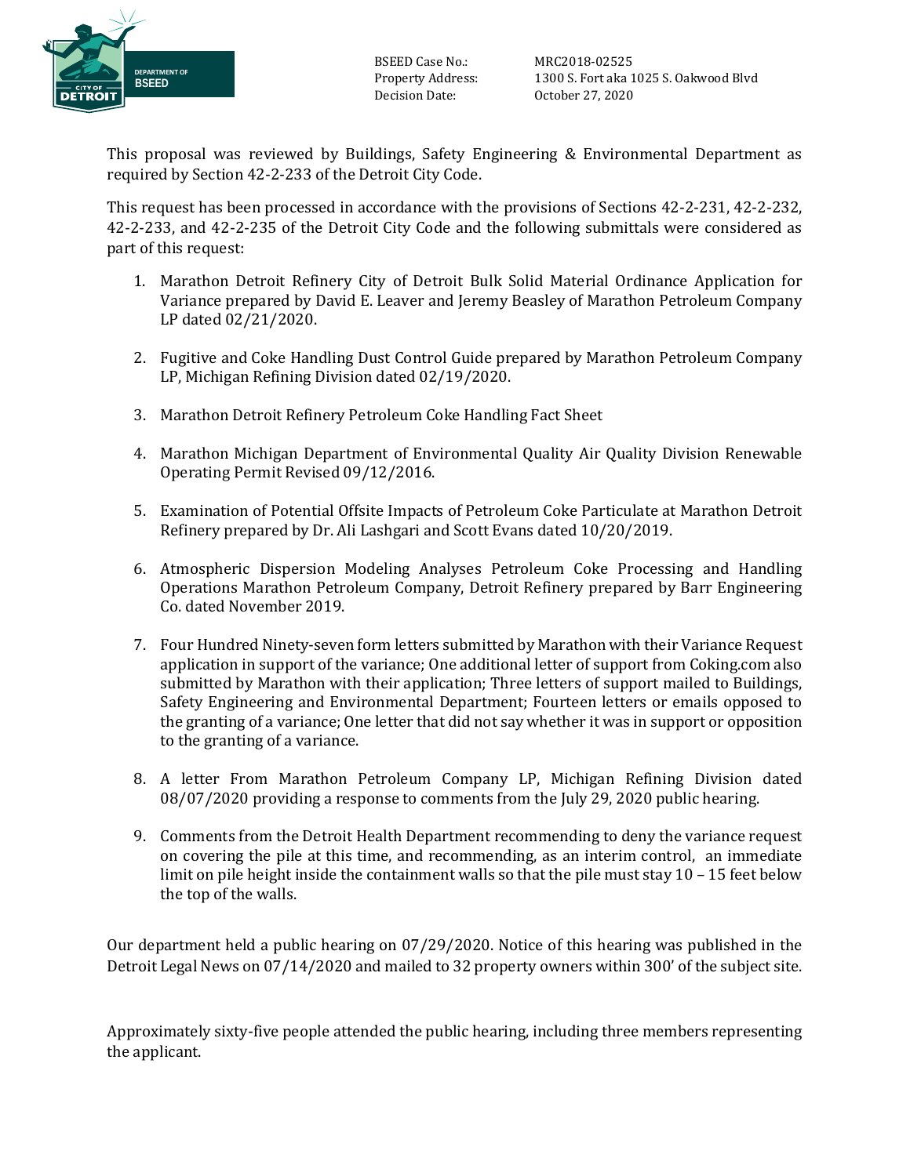

BSEED Case No.: MRC2018-02525<br>Property Address: 1300 S. Fort aka 1

Property Address: 1300 S. Fort aka 1025 S. Oakwood Blvd October 27, 2020

This proposal was reviewed by Buildings, Safety Engineering & Environmental Department as required by Section 42-2-233 of the Detroit City Code.

This request has been processed in accordance with the provisions of Sections 42-2-231, 42-2-232, 42-2-233, and 42-2-235 of the Detroit City Code and the following submittals were considered as part of this request:

- 1. Marathon Detroit Refinery City of Detroit Bulk Solid Material Ordinance Application for Variance prepared by David E. Leaver and Jeremy Beasley of Marathon Petroleum Company LP dated 02/21/2020.
- 2. Fugitive and Coke Handling Dust Control Guide prepared by Marathon Petroleum Company LP, Michigan Refining Division dated 02/19/2020.
- 3. Marathon Detroit Refinery Petroleum Coke Handling Fact Sheet
- 4. Marathon Michigan Department of Environmental Quality Air Quality Division Renewable Operating Permit Revised 09/12/2016.
- 5. Examination of Potential Offsite Impacts of Petroleum Coke Particulate at Marathon Detroit Refinery prepared by Dr. Ali Lashgari and Scott Evans dated 10/20/2019.
- 6. Atmospheric Dispersion Modeling Analyses Petroleum Coke Processing and Handling Operations Marathon Petroleum Company, Detroit Refinery prepared by Barr Engineering Co. dated November 2019.
- 7. Four Hundred Ninety-seven form letters submitted by Marathon with their Variance Request application in support of the variance; One additional letter of support from Coking.com also submitted by Marathon with their application; Three letters of support mailed to Buildings, Safety Engineering and Environmental Department; Fourteen letters or emails opposed to the granting of a variance; One letter that did not say whether it was in support or opposition to the granting of a variance.
- 8. A letter From Marathon Petroleum Company LP, Michigan Refining Division dated 08/07/2020 providing a response to comments from the July 29, 2020 public hearing.
- 9. Comments from the Detroit Health Department recommending to deny the variance request on covering the pile at this time, and recommending, as an interim control, an immediate limit on pile height inside the containment walls so that the pile must stay 10 – 15 feet below the top of the walls.

Our department held a public hearing on 07/29/2020. Notice of this hearing was published in the Detroit Legal News on 07/14/2020 and mailed to 32 property owners within 300' of the subject site.

Approximately sixty-five people attended the public hearing, including three members representing the applicant.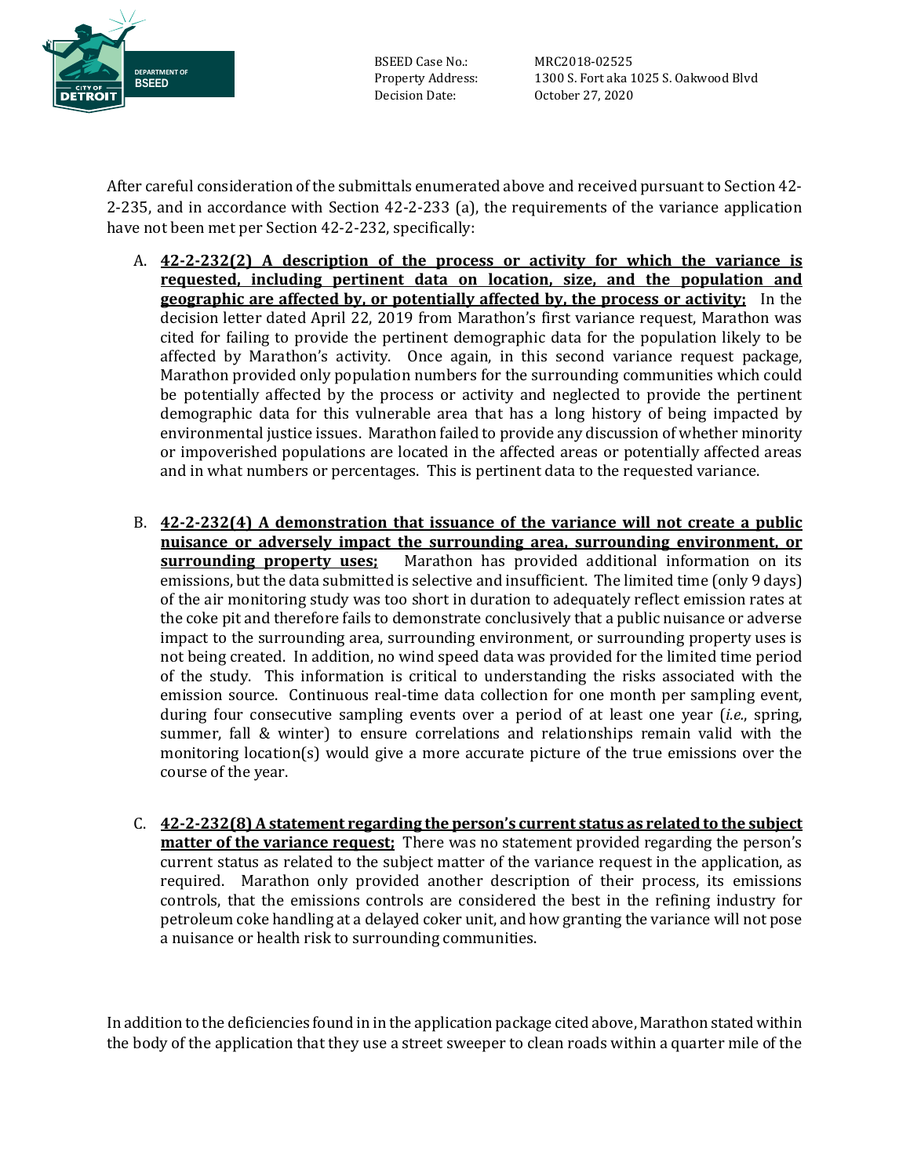

BSEED Case No.: MRC2018-02525<br>Property Address: 1300 S. Fort aka 1

Property Address: 1300 S. Fort aka 1025 S. Oakwood Blvd October 27, 2020

After careful consideration of the submittals enumerated above and received pursuant to Section 42- 2-235, and in accordance with Section 42-2-233 (a), the requirements of the variance application have not been met per Section 42-2-232, specifically:

- A. **42-2-232(2) A description of the process or activity for which the variance is requested, including pertinent data on location, size, and the population and geographic are affected by, or potentially affected by, the process or activity;** In the decision letter dated April 22, 2019 from Marathon's first variance request, Marathon was cited for failing to provide the pertinent demographic data for the population likely to be affected by Marathon's activity. Once again, in this second variance request package, Marathon provided only population numbers for the surrounding communities which could be potentially affected by the process or activity and neglected to provide the pertinent demographic data for this vulnerable area that has a long history of being impacted by environmental justice issues. Marathon failed to provide any discussion of whether minority or impoverished populations are located in the affected areas or potentially affected areas and in what numbers or percentages. This is pertinent data to the requested variance.
- B. **42-2-232(4) A demonstration that issuance of the variance will not create a public nuisance or adversely impact the surrounding area, surrounding environment, or surrounding property uses;** Marathon has provided additional information on its emissions, but the data submitted is selective and insufficient. The limited time (only 9 days) of the air monitoring study was too short in duration to adequately reflect emission rates at the coke pit and therefore fails to demonstrate conclusively that a public nuisance or adverse impact to the surrounding area, surrounding environment, or surrounding property uses is not being created. In addition, no wind speed data was provided for the limited time period of the study. This information is critical to understanding the risks associated with the emission source. Continuous real-time data collection for one month per sampling event, during four consecutive sampling events over a period of at least one year (*i.e.*, spring, summer, fall & winter) to ensure correlations and relationships remain valid with the monitoring location(s) would give a more accurate picture of the true emissions over the course of the year.
- C. **42-2-232(8) A statement regarding the person's current status as related to the subject matter of the variance request;** There was no statement provided regarding the person's current status as related to the subject matter of the variance request in the application, as required. Marathon only provided another description of their process, its emissions controls, that the emissions controls are considered the best in the refining industry for petroleum coke handling at a delayed coker unit, and how granting the variance will not pose a nuisance or health risk to surrounding communities.

In addition to the deficiencies found in in the application package cited above, Marathon stated within the body of the application that they use a street sweeper to clean roads within a quarter mile of the